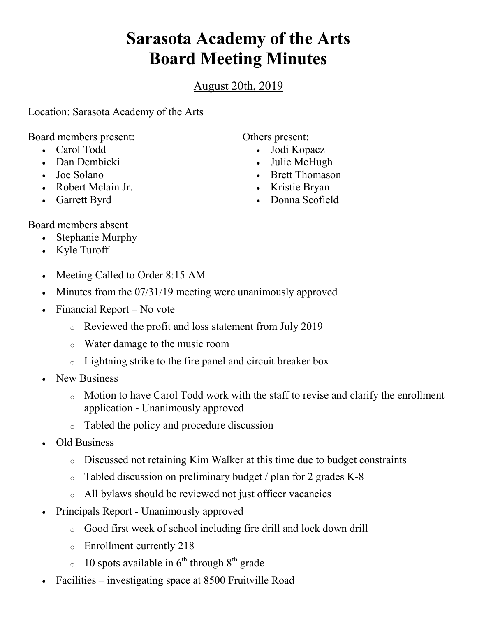## **Sarasota Academy of the Arts Board Meeting Minutes**

August 20th, 2019

Location: Sarasota Academy of the Arts

Board members present:

- Carol Todd
- Dan Dembicki
- Joe Solano
- Robert Mclain Jr.
- Garrett Byrd

Others present:

- Jodi Kopacz
- Julie McHugh
- Brett Thomason
- Kristie Bryan
- Donna Scofield

Board members absent

- Stephanie Murphy
- Kyle Turoff
- Meeting Called to Order 8:15 AM
- Minutes from the 07/31/19 meeting were unanimously approved
- Financial Report No vote
	- o Reviewed the profit and loss statement from July 2019
	- o Water damage to the music room
	- o Lightning strike to the fire panel and circuit breaker box
- New Business
	- o Motion to have Carol Todd work with the staff to revise and clarify the enrollment application - Unanimously approved
	- o Tabled the policy and procedure discussion
- Old Business
	- o Discussed not retaining Kim Walker at this time due to budget constraints
	- o Tabled discussion on preliminary budget / plan for 2 grades K-8
	- o All bylaws should be reviewed not just officer vacancies
- Principals Report Unanimously approved
	- o Good first week of school including fire drill and lock down drill
	- o Enrollment currently 218
	- $\circ$  10 spots available in 6<sup>th</sup> through 8<sup>th</sup> grade
- Facilities investigating space at 8500 Fruitville Road